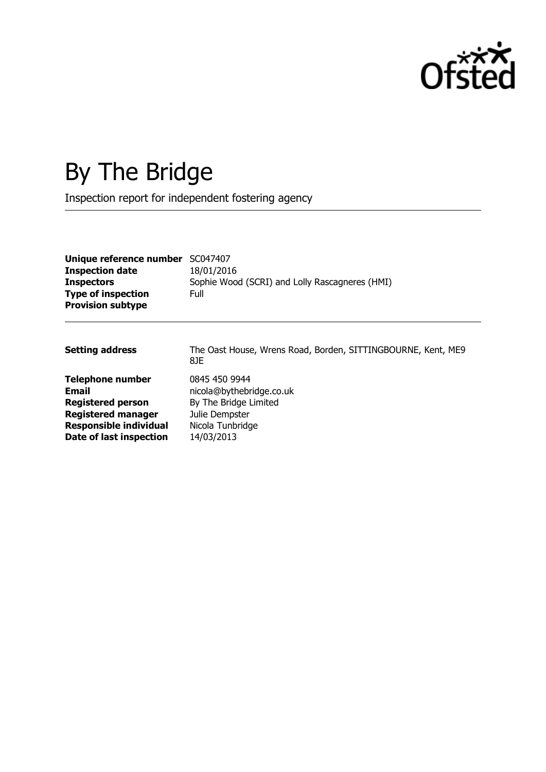

# By The Bridge

Inspection report for independent fostering agency

| Unique reference number<br><b>Inspection date</b><br><b>Inspectors</b><br><b>Type of inspection</b><br><b>Provision subtype</b>                       | SC047407<br>18/01/2016<br>Sophie Wood (SCRI) and Lolly Rascagneres (HMI)<br>Full                                       |
|-------------------------------------------------------------------------------------------------------------------------------------------------------|------------------------------------------------------------------------------------------------------------------------|
| <b>Setting address</b>                                                                                                                                | The Oast House, Wrens Road, Borden, SITTINGBOURNE, Kent, ME9<br>8JE                                                    |
| <b>Telephone number</b><br>Email<br><b>Registered person</b><br><b>Registered manager</b><br><b>Responsible individual</b><br>Date of last inspection | 0845 450 9944<br>nicola@bythebridge.co.uk<br>By The Bridge Limited<br>Julie Dempster<br>Nicola Tunbridge<br>14/03/2013 |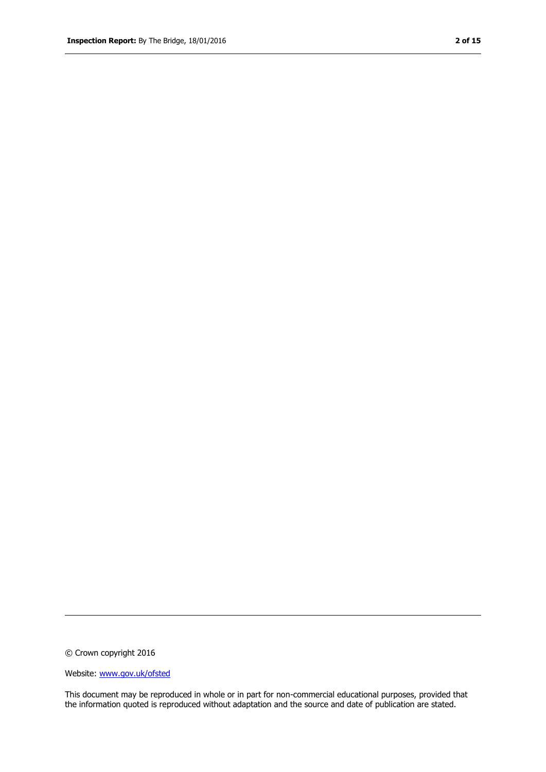© Crown copyright 2016

Website: www.gov.uk/ofsted

This document may be reproduced in whole or in part for non-commercial educational purposes, provided that the information quoted is reproduced without adaptation and the source and date of publication are stated.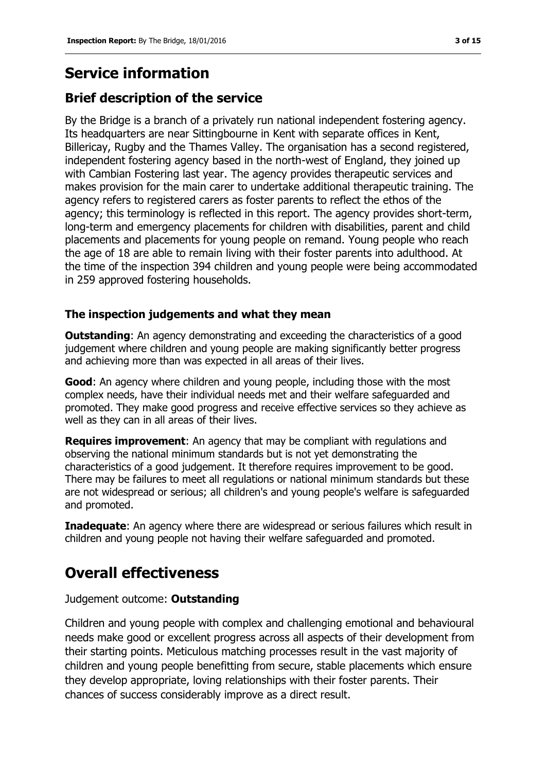# **Service information**

## **Brief description of the service**

By the Bridge is a branch of a privately run national independent fostering agency. Its headquarters are near Sittingbourne in Kent with separate offices in Kent, Billericay, Rugby and the Thames Valley. The organisation has a second registered, independent fostering agency based in the north-west of England, they joined up with Cambian Fostering last year. The agency provides therapeutic services and makes provision for the main carer to undertake additional therapeutic training. The agency refers to registered carers as foster parents to reflect the ethos of the agency; this terminology is reflected in this report. The agency provides short-term, long-term and emergency placements for children with disabilities, parent and child placements and placements for young people on remand. Young people who reach the age of 18 are able to remain living with their foster parents into adulthood. At the time of the inspection 394 children and young people were being accommodated in 259 approved fostering households.

#### **The inspection judgements and what they mean**

**Outstanding:** An agency demonstrating and exceeding the characteristics of a good judgement where children and young people are making significantly better progress and achieving more than was expected in all areas of their lives.

**Good:** An agency where children and young people, including those with the most complex needs, have their individual needs met and their welfare safeguarded and promoted. They make good progress and receive effective services so they achieve as well as they can in all areas of their lives.

**Requires improvement**: An agency that may be compliant with regulations and observing the national minimum standards but is not yet demonstrating the characteristics of a good judgement. It therefore requires improvement to be good. There may be failures to meet all regulations or national minimum standards but these are not widespread or serious; all children's and young people's welfare is safeguarded and promoted.

**Inadequate:** An agency where there are widespread or serious failures which result in children and young people not having their welfare safeguarded and promoted.

## **Overall effectiveness**

Judgement outcome: **Outstanding**

Children and young people with complex and challenging emotional and behavioural needs make good or excellent progress across all aspects of their development from their starting points. Meticulous matching processes result in the vast majority of children and young people benefitting from secure, stable placements which ensure they develop appropriate, loving relationships with their foster parents. Their chances of success considerably improve as a direct result.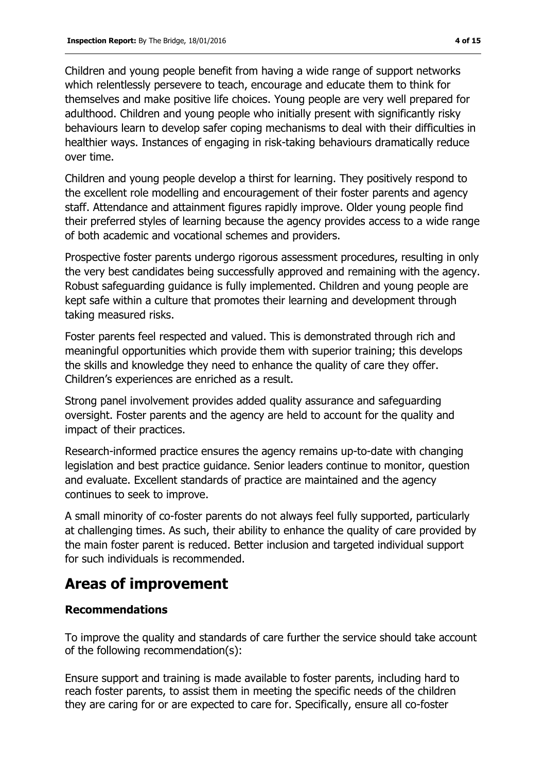Children and young people benefit from having a wide range of support networks which relentlessly persevere to teach, encourage and educate them to think for themselves and make positive life choices. Young people are very well prepared for adulthood. Children and young people who initially present with significantly risky behaviours learn to develop safer coping mechanisms to deal with their difficulties in healthier ways. Instances of engaging in risk-taking behaviours dramatically reduce over time.

Children and young people develop a thirst for learning. They positively respond to the excellent role modelling and encouragement of their foster parents and agency staff. Attendance and attainment figures rapidly improve. Older young people find their preferred styles of learning because the agency provides access to a wide range of both academic and vocational schemes and providers.

Prospective foster parents undergo rigorous assessment procedures, resulting in only the very best candidates being successfully approved and remaining with the agency. Robust safeguarding guidance is fully implemented. Children and young people are kept safe within a culture that promotes their learning and development through taking measured risks.

Foster parents feel respected and valued. This is demonstrated through rich and meaningful opportunities which provide them with superior training; this develops the skills and knowledge they need to enhance the quality of care they offer. Children's experiences are enriched as a result.

Strong panel involvement provides added quality assurance and safeguarding oversight. Foster parents and the agency are held to account for the quality and impact of their practices.

Research-informed practice ensures the agency remains up-to-date with changing legislation and best practice guidance. Senior leaders continue to monitor, question and evaluate. Excellent standards of practice are maintained and the agency continues to seek to improve.

A small minority of co-foster parents do not always feel fully supported, particularly at challenging times. As such, their ability to enhance the quality of care provided by the main foster parent is reduced. Better inclusion and targeted individual support for such individuals is recommended.

## **Areas of improvement**

### **Recommendations**

To improve the quality and standards of care further the service should take account of the following recommendation(s):

Ensure support and training is made available to foster parents, including hard to reach foster parents, to assist them in meeting the specific needs of the children they are caring for or are expected to care for. Specifically, ensure all co-foster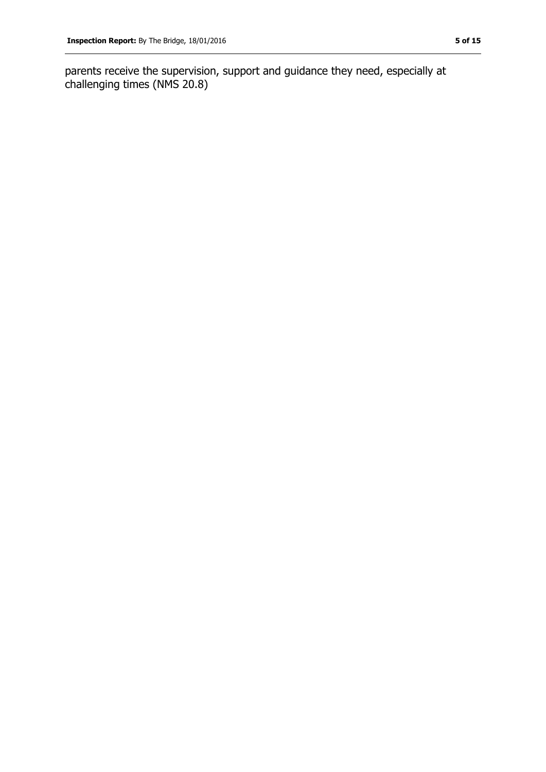parents receive the supervision, support and guidance they need, especially at challenging times (NMS 20.8)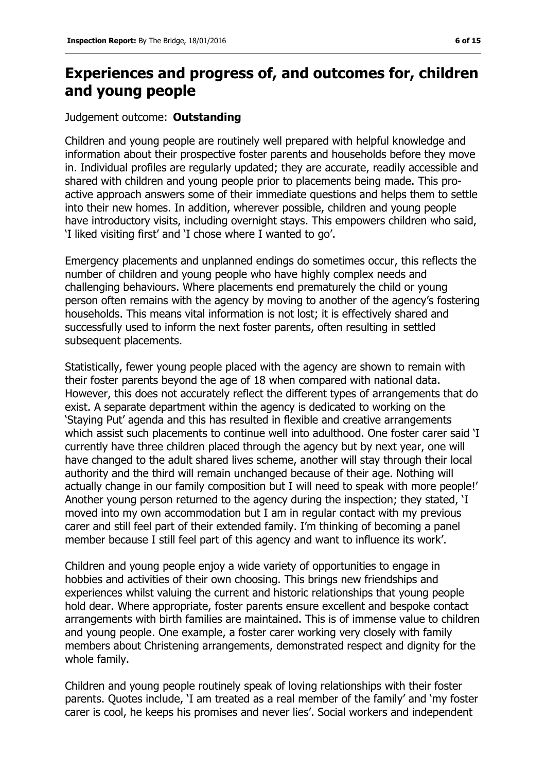## **Experiences and progress of, and outcomes for, children and young people**

#### Judgement outcome: **Outstanding**

Children and young people are routinely well prepared with helpful knowledge and information about their prospective foster parents and households before they move in. Individual profiles are regularly updated; they are accurate, readily accessible and shared with children and young people prior to placements being made. This proactive approach answers some of their immediate questions and helps them to settle into their new homes. In addition, wherever possible, children and young people have introductory visits, including overnight stays. This empowers children who said, 'I liked visiting first' and 'I chose where I wanted to go'.

Emergency placements and unplanned endings do sometimes occur, this reflects the number of children and young people who have highly complex needs and challenging behaviours. Where placements end prematurely the child or young person often remains with the agency by moving to another of the agency's fostering households. This means vital information is not lost; it is effectively shared and successfully used to inform the next foster parents, often resulting in settled subsequent placements.

Statistically, fewer young people placed with the agency are shown to remain with their foster parents beyond the age of 18 when compared with national data. However, this does not accurately reflect the different types of arrangements that do exist. A separate department within the agency is dedicated to working on the 'Staying Put' agenda and this has resulted in flexible and creative arrangements which assist such placements to continue well into adulthood. One foster carer said 'I currently have three children placed through the agency but by next year, one will have changed to the adult shared lives scheme, another will stay through their local authority and the third will remain unchanged because of their age. Nothing will actually change in our family composition but I will need to speak with more people!' Another young person returned to the agency during the inspection; they stated, 'I moved into my own accommodation but I am in regular contact with my previous carer and still feel part of their extended family. I'm thinking of becoming a panel member because I still feel part of this agency and want to influence its work'.

Children and young people enjoy a wide variety of opportunities to engage in hobbies and activities of their own choosing. This brings new friendships and experiences whilst valuing the current and historic relationships that young people hold dear. Where appropriate, foster parents ensure excellent and bespoke contact arrangements with birth families are maintained. This is of immense value to children and young people. One example, a foster carer working very closely with family members about Christening arrangements, demonstrated respect and dignity for the whole family.

Children and young people routinely speak of loving relationships with their foster parents. Quotes include, 'I am treated as a real member of the family' and 'my foster carer is cool, he keeps his promises and never lies'. Social workers and independent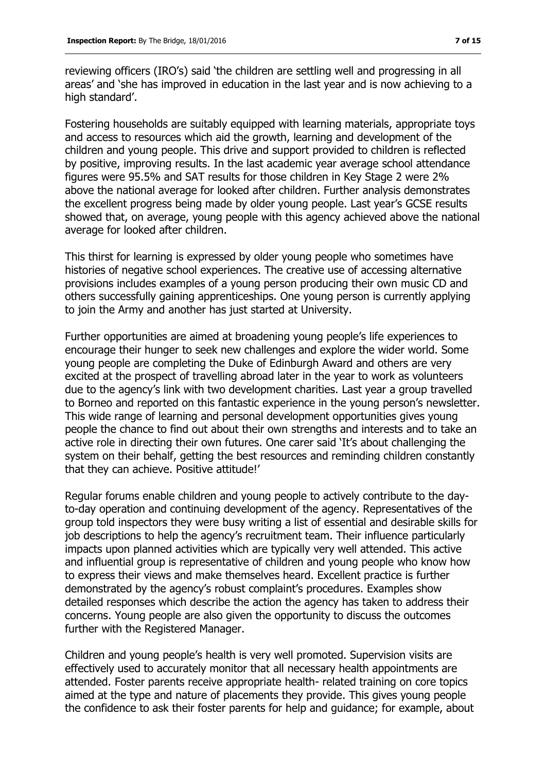reviewing officers (IRO's) said 'the children are settling well and progressing in all areas' and 'she has improved in education in the last year and is now achieving to a high standard'.

Fostering households are suitably equipped with learning materials, appropriate toys and access to resources which aid the growth, learning and development of the children and young people. This drive and support provided to children is reflected by positive, improving results. In the last academic year average school attendance figures were 95.5% and SAT results for those children in Key Stage 2 were 2% above the national average for looked after children. Further analysis demonstrates the excellent progress being made by older young people. Last year's GCSE results showed that, on average, young people with this agency achieved above the national average for looked after children.

This thirst for learning is expressed by older young people who sometimes have histories of negative school experiences. The creative use of accessing alternative provisions includes examples of a young person producing their own music CD and others successfully gaining apprenticeships. One young person is currently applying to join the Army and another has just started at University.

Further opportunities are aimed at broadening young people's life experiences to encourage their hunger to seek new challenges and explore the wider world. Some young people are completing the Duke of Edinburgh Award and others are very excited at the prospect of travelling abroad later in the year to work as volunteers due to the agency's link with two development charities. Last year a group travelled to Borneo and reported on this fantastic experience in the young person's newsletter. This wide range of learning and personal development opportunities gives young people the chance to find out about their own strengths and interests and to take an active role in directing their own futures. One carer said 'It's about challenging the system on their behalf, getting the best resources and reminding children constantly that they can achieve. Positive attitude!'

Regular forums enable children and young people to actively contribute to the dayto-day operation and continuing development of the agency. Representatives of the group told inspectors they were busy writing a list of essential and desirable skills for job descriptions to help the agency's recruitment team. Their influence particularly impacts upon planned activities which are typically very well attended. This active and influential group is representative of children and young people who know how to express their views and make themselves heard. Excellent practice is further demonstrated by the agency's robust complaint's procedures. Examples show detailed responses which describe the action the agency has taken to address their concerns. Young people are also given the opportunity to discuss the outcomes further with the Registered Manager.

Children and young people's health is very well promoted. Supervision visits are effectively used to accurately monitor that all necessary health appointments are attended. Foster parents receive appropriate health- related training on core topics aimed at the type and nature of placements they provide. This gives young people the confidence to ask their foster parents for help and guidance; for example, about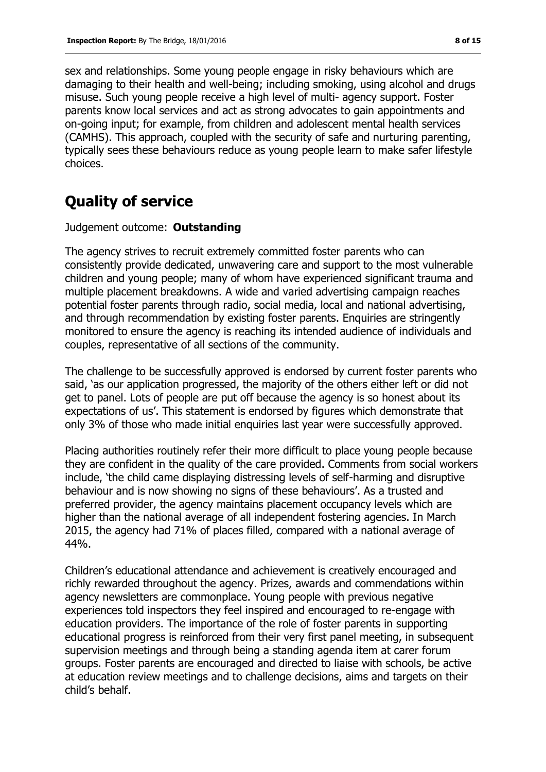sex and relationships. Some young people engage in risky behaviours which are damaging to their health and well-being; including smoking, using alcohol and drugs misuse. Such young people receive a high level of multi- agency support. Foster parents know local services and act as strong advocates to gain appointments and on-going input; for example, from children and adolescent mental health services (CAMHS). This approach, coupled with the security of safe and nurturing parenting, typically sees these behaviours reduce as young people learn to make safer lifestyle choices.

## **Quality of service**

#### Judgement outcome: **Outstanding**

The agency strives to recruit extremely committed foster parents who can consistently provide dedicated, unwavering care and support to the most vulnerable children and young people; many of whom have experienced significant trauma and multiple placement breakdowns. A wide and varied advertising campaign reaches potential foster parents through radio, social media, local and national advertising, and through recommendation by existing foster parents. Enquiries are stringently monitored to ensure the agency is reaching its intended audience of individuals and couples, representative of all sections of the community.

The challenge to be successfully approved is endorsed by current foster parents who said, 'as our application progressed, the majority of the others either left or did not get to panel. Lots of people are put off because the agency is so honest about its expectations of us'. This statement is endorsed by figures which demonstrate that only 3% of those who made initial enquiries last year were successfully approved.

Placing authorities routinely refer their more difficult to place young people because they are confident in the quality of the care provided. Comments from social workers include, 'the child came displaying distressing levels of self-harming and disruptive behaviour and is now showing no signs of these behaviours'. As a trusted and preferred provider, the agency maintains placement occupancy levels which are higher than the national average of all independent fostering agencies. In March 2015, the agency had 71% of places filled, compared with a national average of 44%.

Children's educational attendance and achievement is creatively encouraged and richly rewarded throughout the agency. Prizes, awards and commendations within agency newsletters are commonplace. Young people with previous negative experiences told inspectors they feel inspired and encouraged to re-engage with education providers. The importance of the role of foster parents in supporting educational progress is reinforced from their very first panel meeting, in subsequent supervision meetings and through being a standing agenda item at carer forum groups. Foster parents are encouraged and directed to liaise with schools, be active at education review meetings and to challenge decisions, aims and targets on their child's behalf.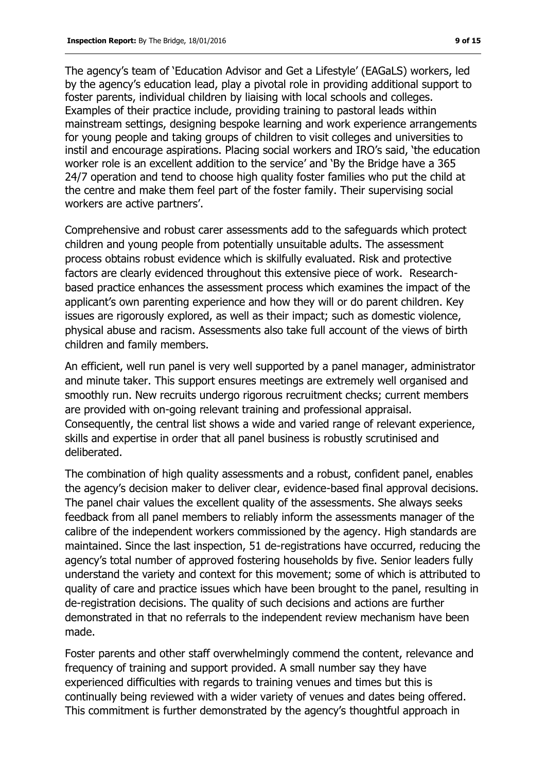The agency's team of 'Education Advisor and Get a Lifestyle' (EAGaLS) workers, led by the agency's education lead, play a pivotal role in providing additional support to foster parents, individual children by liaising with local schools and colleges. Examples of their practice include, providing training to pastoral leads within mainstream settings, designing bespoke learning and work experience arrangements for young people and taking groups of children to visit colleges and universities to instil and encourage aspirations. Placing social workers and IRO's said, 'the education worker role is an excellent addition to the service' and 'By the Bridge have a 365 24/7 operation and tend to choose high quality foster families who put the child at the centre and make them feel part of the foster family. Their supervising social workers are active partners'.

Comprehensive and robust carer assessments add to the safeguards which protect children and young people from potentially unsuitable adults. The assessment process obtains robust evidence which is skilfully evaluated. Risk and protective factors are clearly evidenced throughout this extensive piece of work. Researchbased practice enhances the assessment process which examines the impact of the applicant's own parenting experience and how they will or do parent children. Key issues are rigorously explored, as well as their impact; such as domestic violence, physical abuse and racism. Assessments also take full account of the views of birth children and family members.

An efficient, well run panel is very well supported by a panel manager, administrator and minute taker. This support ensures meetings are extremely well organised and smoothly run. New recruits undergo rigorous recruitment checks; current members are provided with on-going relevant training and professional appraisal. Consequently, the central list shows a wide and varied range of relevant experience, skills and expertise in order that all panel business is robustly scrutinised and deliberated.

The combination of high quality assessments and a robust, confident panel, enables the agency's decision maker to deliver clear, evidence-based final approval decisions. The panel chair values the excellent quality of the assessments. She always seeks feedback from all panel members to reliably inform the assessments manager of the calibre of the independent workers commissioned by the agency. High standards are maintained. Since the last inspection, 51 de-registrations have occurred, reducing the agency's total number of approved fostering households by five. Senior leaders fully understand the variety and context for this movement; some of which is attributed to quality of care and practice issues which have been brought to the panel, resulting in de-registration decisions. The quality of such decisions and actions are further demonstrated in that no referrals to the independent review mechanism have been made.

Foster parents and other staff overwhelmingly commend the content, relevance and frequency of training and support provided. A small number say they have experienced difficulties with regards to training venues and times but this is continually being reviewed with a wider variety of venues and dates being offered. This commitment is further demonstrated by the agency's thoughtful approach in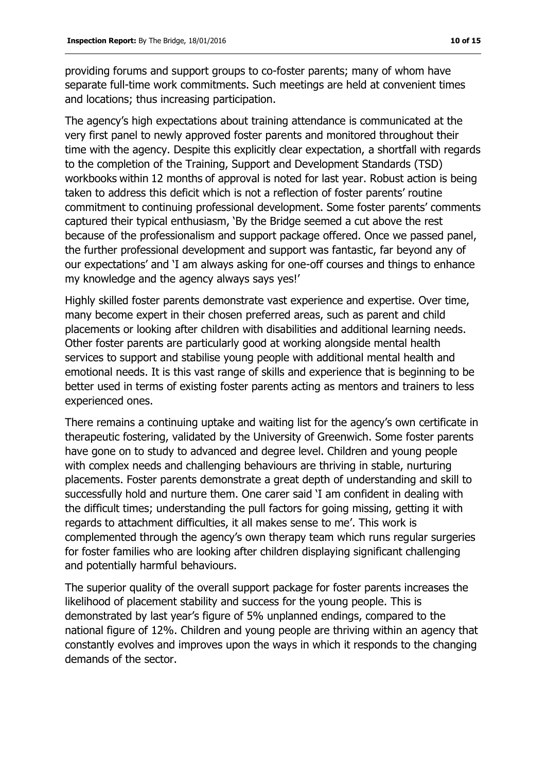providing forums and support groups to co-foster parents; many of whom have separate full-time work commitments. Such meetings are held at convenient times and locations; thus increasing participation.

The agency's high expectations about training attendance is communicated at the very first panel to newly approved foster parents and monitored throughout their time with the agency. Despite this explicitly clear expectation, a shortfall with regards to the completion of the Training, Support and Development Standards (TSD) workbooks within 12 months of approval is noted for last year. Robust action is being taken to address this deficit which is not a reflection of foster parents' routine commitment to continuing professional development. Some foster parents' comments captured their typical enthusiasm, 'By the Bridge seemed a cut above the rest because of the professionalism and support package offered. Once we passed panel, the further professional development and support was fantastic, far beyond any of our expectations' and 'I am always asking for one-off courses and things to enhance my knowledge and the agency always says yes!'

Highly skilled foster parents demonstrate vast experience and expertise. Over time, many become expert in their chosen preferred areas, such as parent and child placements or looking after children with disabilities and additional learning needs. Other foster parents are particularly good at working alongside mental health services to support and stabilise young people with additional mental health and emotional needs. It is this vast range of skills and experience that is beginning to be better used in terms of existing foster parents acting as mentors and trainers to less experienced ones.

There remains a continuing uptake and waiting list for the agency's own certificate in therapeutic fostering, validated by the University of Greenwich. Some foster parents have gone on to study to advanced and degree level. Children and young people with complex needs and challenging behaviours are thriving in stable, nurturing placements. Foster parents demonstrate a great depth of understanding and skill to successfully hold and nurture them. One carer said 'I am confident in dealing with the difficult times; understanding the pull factors for going missing, getting it with regards to attachment difficulties, it all makes sense to me'. This work is complemented through the agency's own therapy team which runs regular surgeries for foster families who are looking after children displaying significant challenging and potentially harmful behaviours.

The superior quality of the overall support package for foster parents increases the likelihood of placement stability and success for the young people. This is demonstrated by last year's figure of 5% unplanned endings, compared to the national figure of 12%. Children and young people are thriving within an agency that constantly evolves and improves upon the ways in which it responds to the changing demands of the sector.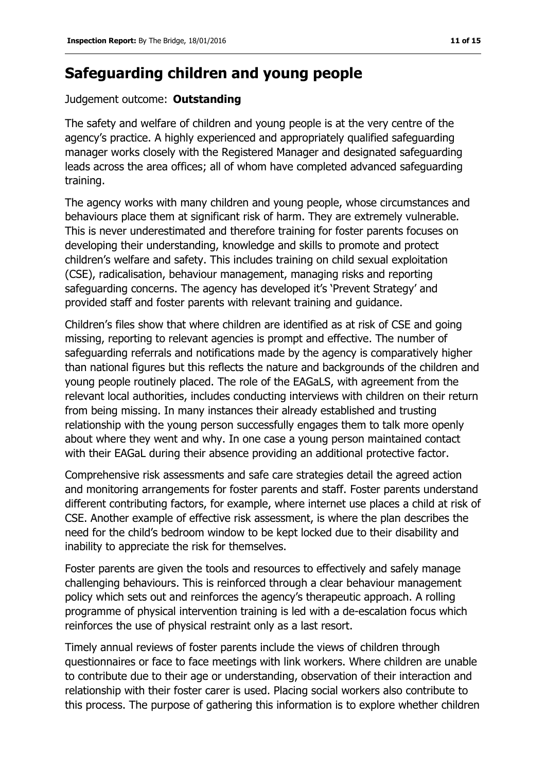## **Safeguarding children and young people**

#### Judgement outcome: **Outstanding**

The safety and welfare of children and young people is at the very centre of the agency's practice. A highly experienced and appropriately qualified safeguarding manager works closely with the Registered Manager and designated safeguarding leads across the area offices; all of whom have completed advanced safeguarding training.

The agency works with many children and young people, whose circumstances and behaviours place them at significant risk of harm. They are extremely vulnerable. This is never underestimated and therefore training for foster parents focuses on developing their understanding, knowledge and skills to promote and protect children's welfare and safety. This includes training on child sexual exploitation (CSE), radicalisation, behaviour management, managing risks and reporting safeguarding concerns. The agency has developed it's 'Prevent Strategy' and provided staff and foster parents with relevant training and guidance.

Children's files show that where children are identified as at risk of CSE and going missing, reporting to relevant agencies is prompt and effective. The number of safeguarding referrals and notifications made by the agency is comparatively higher than national figures but this reflects the nature and backgrounds of the children and young people routinely placed. The role of the EAGaLS, with agreement from the relevant local authorities, includes conducting interviews with children on their return from being missing. In many instances their already established and trusting relationship with the young person successfully engages them to talk more openly about where they went and why. In one case a young person maintained contact with their EAGaL during their absence providing an additional protective factor.

Comprehensive risk assessments and safe care strategies detail the agreed action and monitoring arrangements for foster parents and staff. Foster parents understand different contributing factors, for example, where internet use places a child at risk of CSE. Another example of effective risk assessment, is where the plan describes the need for the child's bedroom window to be kept locked due to their disability and inability to appreciate the risk for themselves.

Foster parents are given the tools and resources to effectively and safely manage challenging behaviours. This is reinforced through a clear behaviour management policy which sets out and reinforces the agency's therapeutic approach. A rolling programme of physical intervention training is led with a de-escalation focus which reinforces the use of physical restraint only as a last resort.

Timely annual reviews of foster parents include the views of children through questionnaires or face to face meetings with link workers. Where children are unable to contribute due to their age or understanding, observation of their interaction and relationship with their foster carer is used. Placing social workers also contribute to this process. The purpose of gathering this information is to explore whether children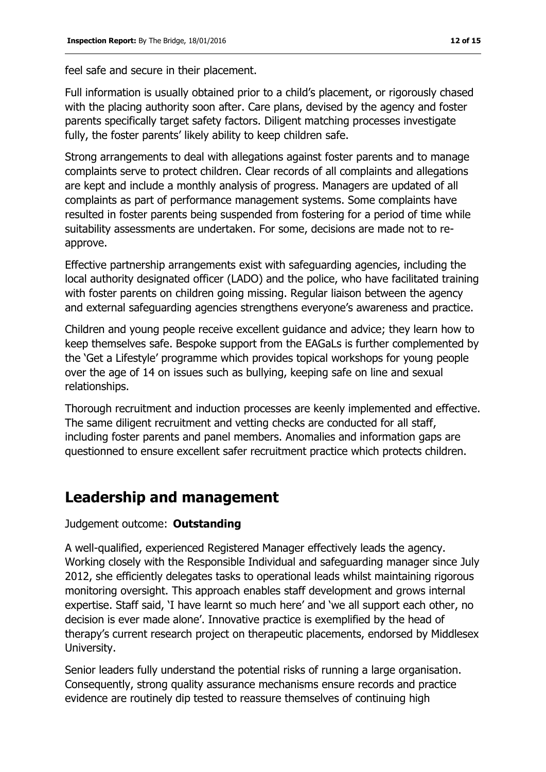feel safe and secure in their placement.

Full information is usually obtained prior to a child's placement, or rigorously chased with the placing authority soon after. Care plans, devised by the agency and foster parents specifically target safety factors. Diligent matching processes investigate fully, the foster parents' likely ability to keep children safe.

Strong arrangements to deal with allegations against foster parents and to manage complaints serve to protect children. Clear records of all complaints and allegations are kept and include a monthly analysis of progress. Managers are updated of all complaints as part of performance management systems. Some complaints have resulted in foster parents being suspended from fostering for a period of time while suitability assessments are undertaken. For some, decisions are made not to reapprove.

Effective partnership arrangements exist with safeguarding agencies, including the local authority designated officer (LADO) and the police, who have facilitated training with foster parents on children going missing. Regular liaison between the agency and external safeguarding agencies strengthens everyone's awareness and practice.

Children and young people receive excellent guidance and advice; they learn how to keep themselves safe. Bespoke support from the EAGaLs is further complemented by the 'Get a Lifestyle' programme which provides topical workshops for young people over the age of 14 on issues such as bullying, keeping safe on line and sexual relationships.

Thorough recruitment and induction processes are keenly implemented and effective. The same diligent recruitment and vetting checks are conducted for all staff, including foster parents and panel members. Anomalies and information gaps are questionned to ensure excellent safer recruitment practice which protects children.

## **Leadership and management**

Judgement outcome: **Outstanding**

A well-qualified, experienced Registered Manager effectively leads the agency. Working closely with the Responsible Individual and safeguarding manager since July 2012, she efficiently delegates tasks to operational leads whilst maintaining rigorous monitoring oversight. This approach enables staff development and grows internal expertise. Staff said, 'I have learnt so much here' and 'we all support each other, no decision is ever made alone'. Innovative practice is exemplified by the head of therapy's current research project on therapeutic placements, endorsed by Middlesex University.

Senior leaders fully understand the potential risks of running a large organisation. Consequently, strong quality assurance mechanisms ensure records and practice evidence are routinely dip tested to reassure themselves of continuing high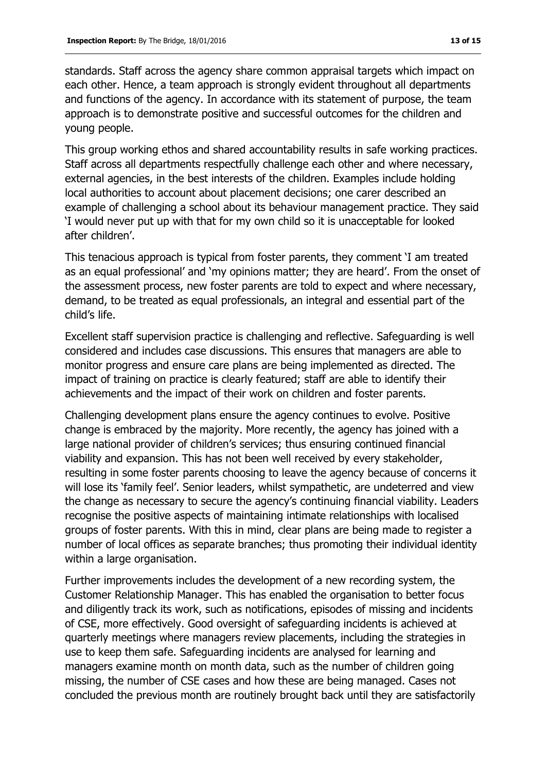standards. Staff across the agency share common appraisal targets which impact on each other. Hence, a team approach is strongly evident throughout all departments and functions of the agency. In accordance with its statement of purpose, the team approach is to demonstrate positive and successful outcomes for the children and young people.

This group working ethos and shared accountability results in safe working practices. Staff across all departments respectfully challenge each other and where necessary, external agencies, in the best interests of the children. Examples include holding local authorities to account about placement decisions; one carer described an example of challenging a school about its behaviour management practice. They said 'I would never put up with that for my own child so it is unacceptable for looked after children'.

This tenacious approach is typical from foster parents, they comment 'I am treated as an equal professional' and 'my opinions matter; they are heard'. From the onset of the assessment process, new foster parents are told to expect and where necessary, demand, to be treated as equal professionals, an integral and essential part of the child's life.

Excellent staff supervision practice is challenging and reflective. Safeguarding is well considered and includes case discussions. This ensures that managers are able to monitor progress and ensure care plans are being implemented as directed. The impact of training on practice is clearly featured; staff are able to identify their achievements and the impact of their work on children and foster parents.

Challenging development plans ensure the agency continues to evolve. Positive change is embraced by the majority. More recently, the agency has joined with a large national provider of children's services; thus ensuring continued financial viability and expansion. This has not been well received by every stakeholder, resulting in some foster parents choosing to leave the agency because of concerns it will lose its 'family feel'. Senior leaders, whilst sympathetic, are undeterred and view the change as necessary to secure the agency's continuing financial viability. Leaders recognise the positive aspects of maintaining intimate relationships with localised groups of foster parents. With this in mind, clear plans are being made to register a number of local offices as separate branches; thus promoting their individual identity within a large organisation.

Further improvements includes the development of a new recording system, the Customer Relationship Manager. This has enabled the organisation to better focus and diligently track its work, such as notifications, episodes of missing and incidents of CSE, more effectively. Good oversight of safeguarding incidents is achieved at quarterly meetings where managers review placements, including the strategies in use to keep them safe. Safeguarding incidents are analysed for learning and managers examine month on month data, such as the number of children going missing, the number of CSE cases and how these are being managed. Cases not concluded the previous month are routinely brought back until they are satisfactorily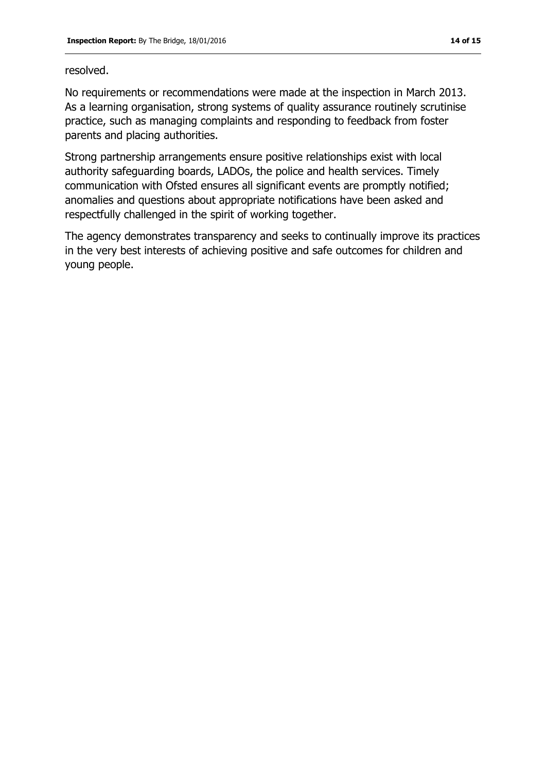#### resolved.

No requirements or recommendations were made at the inspection in March 2013. As a learning organisation, strong systems of quality assurance routinely scrutinise practice, such as managing complaints and responding to feedback from foster parents and placing authorities.

Strong partnership arrangements ensure positive relationships exist with local authority safeguarding boards, LADOs, the police and health services. Timely communication with Ofsted ensures all significant events are promptly notified; anomalies and questions about appropriate notifications have been asked and respectfully challenged in the spirit of working together.

The agency demonstrates transparency and seeks to continually improve its practices in the very best interests of achieving positive and safe outcomes for children and young people.